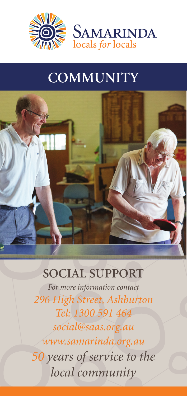

## **COMMUNITY**



## **SOCIAL SUPPORT**

*For more information contact 296 High Street, Ashburton Tel: 1300 591 464 social@saas.org.au www.samarinda.org.au 50 years of service to the local community*